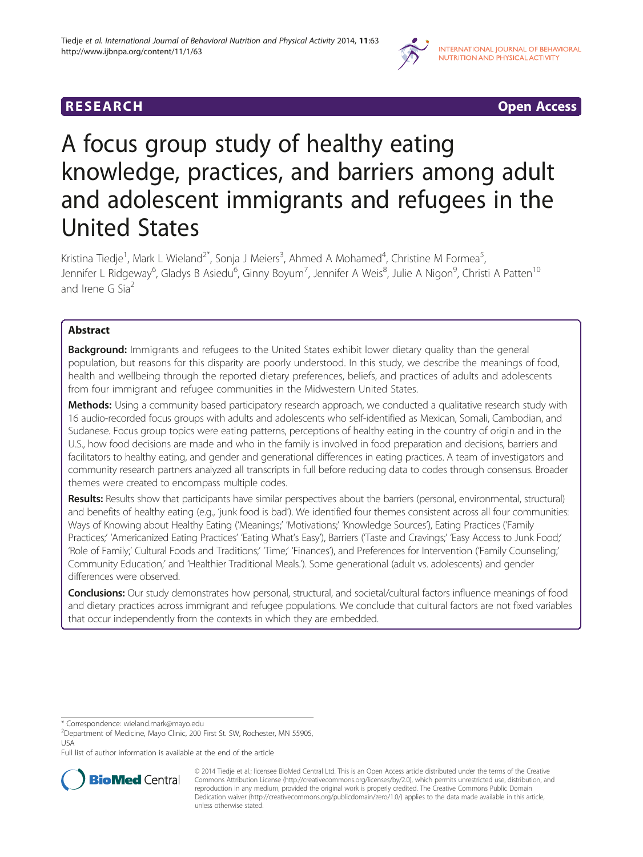

# **RESEARCH RESEARCH** *CHECKER CHECKER CHECKER CHECKER CHECKER CHECKER CHECKER CHECKER CHECKER CHECKER CHECKER*

# A focus group study of healthy eating knowledge, practices, and barriers among adult and adolescent immigrants and refugees in the United States

Kristina Tiedje<sup>1</sup>, Mark L Wieland<sup>2\*</sup>, Sonja J Meiers<sup>3</sup>, Ahmed A Mohamed<sup>4</sup>, Christine M Formea<sup>5</sup> , Jennifer L Ridgeway<sup>6</sup>, Gladys B Asiedu<sup>6</sup>, Ginny Boyum<sup>7</sup>, Jennifer A Weis<sup>8</sup>, Julie A Nigon<sup>9</sup>, Christi A Patten<sup>10</sup> and Irene G Sia<sup>2</sup>

# Abstract

Background: Immigrants and refugees to the United States exhibit lower dietary quality than the general population, but reasons for this disparity are poorly understood. In this study, we describe the meanings of food, health and wellbeing through the reported dietary preferences, beliefs, and practices of adults and adolescents from four immigrant and refugee communities in the Midwestern United States.

Methods: Using a community based participatory research approach, we conducted a qualitative research study with 16 audio-recorded focus groups with adults and adolescents who self-identified as Mexican, Somali, Cambodian, and Sudanese. Focus group topics were eating patterns, perceptions of healthy eating in the country of origin and in the U.S., how food decisions are made and who in the family is involved in food preparation and decisions, barriers and facilitators to healthy eating, and gender and generational differences in eating practices. A team of investigators and community research partners analyzed all transcripts in full before reducing data to codes through consensus. Broader themes were created to encompass multiple codes.

Results: Results show that participants have similar perspectives about the barriers (personal, environmental, structural) and benefits of healthy eating (e.g., 'junk food is bad'). We identified four themes consistent across all four communities: Ways of Knowing about Healthy Eating ('Meanings;' 'Motivations;' 'Knowledge Sources'), Eating Practices ('Family Practices;' 'Americanized Eating Practices' 'Eating What's Easy'), Barriers ('Taste and Cravings;' 'Easy Access to Junk Food;' 'Role of Family;' Cultural Foods and Traditions;' 'Time;' 'Finances'), and Preferences for Intervention ('Family Counseling;' Community Education;' and 'Healthier Traditional Meals.'). Some generational (adult vs. adolescents) and gender differences were observed.

Conclusions: Our study demonstrates how personal, structural, and societal/cultural factors influence meanings of food and dietary practices across immigrant and refugee populations. We conclude that cultural factors are not fixed variables that occur independently from the contexts in which they are embedded.

\* Correspondence: [wieland.mark@mayo.edu](mailto:wieland.mark@mayo.edu) <sup>2</sup>

Full list of author information is available at the end of the article



<sup>© 2014</sup> Tiedje et al.; licensee BioMed Central Ltd. This is an Open Access article distributed under the terms of the Creative Commons Attribution License [\(http://creativecommons.org/licenses/by/2.0\)](http://creativecommons.org/licenses/by/2.0), which permits unrestricted use, distribution, and reproduction in any medium, provided the original work is properly credited. The Creative Commons Public Domain Dedication waiver [\(http://creativecommons.org/publicdomain/zero/1.0/](http://creativecommons.org/publicdomain/zero/1.0/)) applies to the data made available in this article, unless otherwise stated.

 $2$ Department of Medicine, Mayo Clinic, 200 First St. SW, Rochester, MN 55905, USA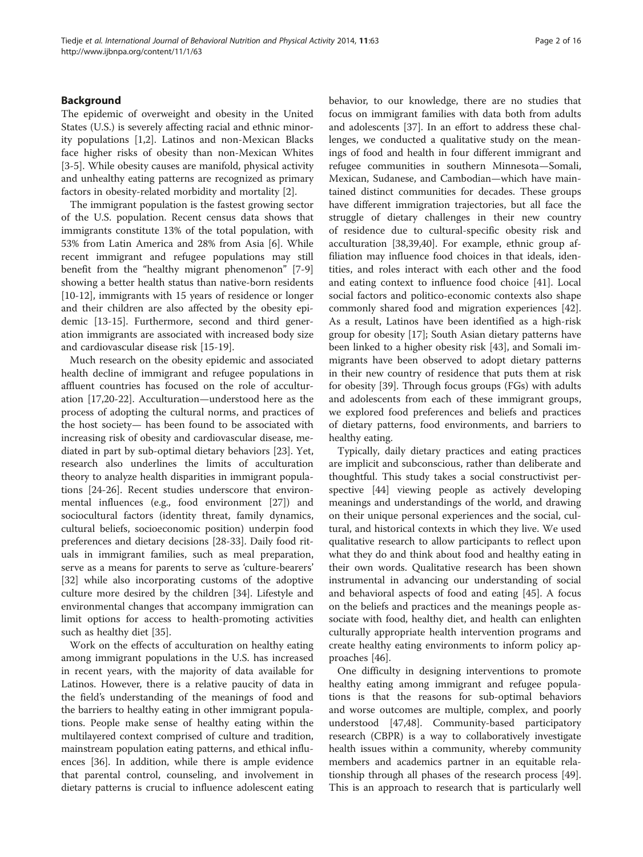#### Background

The epidemic of overweight and obesity in the United States (U.S.) is severely affecting racial and ethnic minority populations [[1,2\]](#page-14-0). Latinos and non-Mexican Blacks face higher risks of obesity than non-Mexican Whites [[3-5](#page-14-0)]. While obesity causes are manifold, physical activity and unhealthy eating patterns are recognized as primary factors in obesity-related morbidity and mortality [\[2\]](#page-14-0).

The immigrant population is the fastest growing sector of the U.S. population. Recent census data shows that immigrants constitute 13% of the total population, with 53% from Latin America and 28% from Asia [[6\]](#page-14-0). While recent immigrant and refugee populations may still benefit from the "healthy migrant phenomenon" [[7-9](#page-14-0)] showing a better health status than native-born residents [[10-12](#page-14-0)], immigrants with 15 years of residence or longer and their children are also affected by the obesity epidemic [\[13](#page-14-0)-[15](#page-14-0)]. Furthermore, second and third generation immigrants are associated with increased body size and cardiovascular disease risk [[15-19\]](#page-14-0).

Much research on the obesity epidemic and associated health decline of immigrant and refugee populations in affluent countries has focused on the role of acculturation [\[17,20](#page-14-0)-[22](#page-14-0)]. Acculturation—understood here as the process of adopting the cultural norms, and practices of the host society— has been found to be associated with increasing risk of obesity and cardiovascular disease, mediated in part by sub-optimal dietary behaviors [\[23](#page-14-0)]. Yet, research also underlines the limits of acculturation theory to analyze health disparities in immigrant populations [[24-26](#page-14-0)]. Recent studies underscore that environmental influences (e.g., food environment [[27](#page-14-0)]) and sociocultural factors (identity threat, family dynamics, cultural beliefs, socioeconomic position) underpin food preferences and dietary decisions [[28-33](#page-14-0)]. Daily food rituals in immigrant families, such as meal preparation, serve as a means for parents to serve as 'culture-bearers' [[32\]](#page-14-0) while also incorporating customs of the adoptive culture more desired by the children [[34\]](#page-14-0). Lifestyle and environmental changes that accompany immigration can limit options for access to health-promoting activities such as healthy diet [[35](#page-14-0)].

Work on the effects of acculturation on healthy eating among immigrant populations in the U.S. has increased in recent years, with the majority of data available for Latinos. However, there is a relative paucity of data in the field's understanding of the meanings of food and the barriers to healthy eating in other immigrant populations. People make sense of healthy eating within the multilayered context comprised of culture and tradition, mainstream population eating patterns, and ethical influences [\[36\]](#page-14-0). In addition, while there is ample evidence that parental control, counseling, and involvement in dietary patterns is crucial to influence adolescent eating behavior, to our knowledge, there are no studies that focus on immigrant families with data both from adults and adolescents [[37\]](#page-14-0). In an effort to address these challenges, we conducted a qualitative study on the meanings of food and health in four different immigrant and refugee communities in southern Minnesota—Somali, Mexican, Sudanese, and Cambodian—which have maintained distinct communities for decades. These groups have different immigration trajectories, but all face the struggle of dietary challenges in their new country of residence due to cultural-specific obesity risk and acculturation [\[38,39,40](#page-14-0)]. For example, ethnic group affiliation may influence food choices in that ideals, identities, and roles interact with each other and the food and eating context to influence food choice [\[41](#page-14-0)]. Local social factors and politico-economic contexts also shape commonly shared food and migration experiences [\[42](#page-14-0)]. As a result, Latinos have been identified as a high-risk group for obesity [\[17](#page-14-0)]; South Asian dietary patterns have been linked to a higher obesity risk [[43\]](#page-14-0), and Somali immigrants have been observed to adopt dietary patterns in their new country of residence that puts them at risk for obesity [\[39](#page-14-0)]. Through focus groups (FGs) with adults and adolescents from each of these immigrant groups, we explored food preferences and beliefs and practices of dietary patterns, food environments, and barriers to healthy eating.

Typically, daily dietary practices and eating practices are implicit and subconscious, rather than deliberate and thoughtful. This study takes a social constructivist perspective [[44\]](#page-14-0) viewing people as actively developing meanings and understandings of the world, and drawing on their unique personal experiences and the social, cultural, and historical contexts in which they live. We used qualitative research to allow participants to reflect upon what they do and think about food and healthy eating in their own words. Qualitative research has been shown instrumental in advancing our understanding of social and behavioral aspects of food and eating [\[45](#page-14-0)]. A focus on the beliefs and practices and the meanings people associate with food, healthy diet, and health can enlighten culturally appropriate health intervention programs and create healthy eating environments to inform policy approaches [\[46\]](#page-15-0).

One difficulty in designing interventions to promote healthy eating among immigrant and refugee populations is that the reasons for sub-optimal behaviors and worse outcomes are multiple, complex, and poorly understood [\[47,48\]](#page-15-0). Community-based participatory research (CBPR) is a way to collaboratively investigate health issues within a community, whereby community members and academics partner in an equitable relationship through all phases of the research process [\[49](#page-15-0)]. This is an approach to research that is particularly well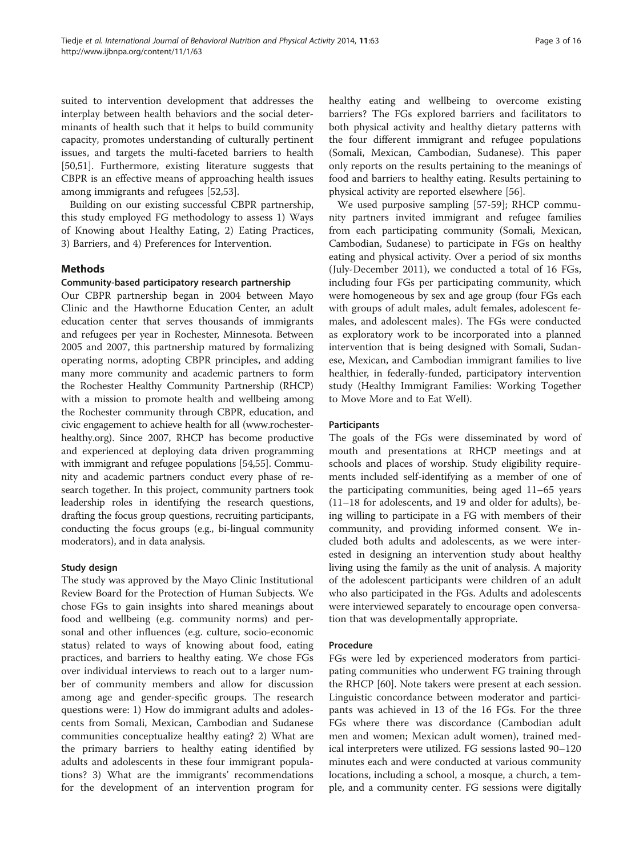suited to intervention development that addresses the interplay between health behaviors and the social determinants of health such that it helps to build community capacity, promotes understanding of culturally pertinent issues, and targets the multi-faceted barriers to health [[50,51\]](#page-15-0). Furthermore, existing literature suggests that CBPR is an effective means of approaching health issues among immigrants and refugees [[52,53\]](#page-15-0).

Building on our existing successful CBPR partnership, this study employed FG methodology to assess 1) Ways of Knowing about Healthy Eating, 2) Eating Practices, 3) Barriers, and 4) Preferences for Intervention.

# Methods

#### Community-based participatory research partnership

Our CBPR partnership began in 2004 between Mayo Clinic and the Hawthorne Education Center, an adult education center that serves thousands of immigrants and refugees per year in Rochester, Minnesota. Between 2005 and 2007, this partnership matured by formalizing operating norms, adopting CBPR principles, and adding many more community and academic partners to form the Rochester Healthy Community Partnership (RHCP) with a mission to promote health and wellbeing among the Rochester community through CBPR, education, and civic engagement to achieve health for all ([www.rochester](http://www.rochesterhealthy.org)[healthy.org\)](http://www.rochesterhealthy.org). Since 2007, RHCP has become productive and experienced at deploying data driven programming with immigrant and refugee populations [[54,55\]](#page-15-0). Community and academic partners conduct every phase of research together. In this project, community partners took leadership roles in identifying the research questions, drafting the focus group questions, recruiting participants, conducting the focus groups (e.g., bi-lingual community moderators), and in data analysis.

#### Study design

The study was approved by the Mayo Clinic Institutional Review Board for the Protection of Human Subjects. We chose FGs to gain insights into shared meanings about food and wellbeing (e.g. community norms) and personal and other influences (e.g. culture, socio-economic status) related to ways of knowing about food, eating practices, and barriers to healthy eating. We chose FGs over individual interviews to reach out to a larger number of community members and allow for discussion among age and gender-specific groups. The research questions were: 1) How do immigrant adults and adolescents from Somali, Mexican, Cambodian and Sudanese communities conceptualize healthy eating? 2) What are the primary barriers to healthy eating identified by adults and adolescents in these four immigrant populations? 3) What are the immigrants' recommendations for the development of an intervention program for healthy eating and wellbeing to overcome existing barriers? The FGs explored barriers and facilitators to both physical activity and healthy dietary patterns with the four different immigrant and refugee populations (Somali, Mexican, Cambodian, Sudanese). This paper only reports on the results pertaining to the meanings of food and barriers to healthy eating. Results pertaining to physical activity are reported elsewhere [\[56](#page-15-0)].

We used purposive sampling [[57-59\]](#page-15-0); RHCP community partners invited immigrant and refugee families from each participating community (Somali, Mexican, Cambodian, Sudanese) to participate in FGs on healthy eating and physical activity. Over a period of six months (July-December 2011), we conducted a total of 16 FGs, including four FGs per participating community, which were homogeneous by sex and age group (four FGs each with groups of adult males, adult females, adolescent females, and adolescent males). The FGs were conducted as exploratory work to be incorporated into a planned intervention that is being designed with Somali, Sudanese, Mexican, and Cambodian immigrant families to live healthier, in federally-funded, participatory intervention study (Healthy Immigrant Families: Working Together to Move More and to Eat Well).

#### **Participants**

The goals of the FGs were disseminated by word of mouth and presentations at RHCP meetings and at schools and places of worship. Study eligibility requirements included self-identifying as a member of one of the participating communities, being aged 11–65 years (11–18 for adolescents, and 19 and older for adults), being willing to participate in a FG with members of their community, and providing informed consent. We included both adults and adolescents, as we were interested in designing an intervention study about healthy living using the family as the unit of analysis. A majority of the adolescent participants were children of an adult who also participated in the FGs. Adults and adolescents were interviewed separately to encourage open conversation that was developmentally appropriate.

#### Procedure

FGs were led by experienced moderators from participating communities who underwent FG training through the RHCP [\[60](#page-15-0)]. Note takers were present at each session. Linguistic concordance between moderator and participants was achieved in 13 of the 16 FGs. For the three FGs where there was discordance (Cambodian adult men and women; Mexican adult women), trained medical interpreters were utilized. FG sessions lasted 90–120 minutes each and were conducted at various community locations, including a school, a mosque, a church, a temple, and a community center. FG sessions were digitally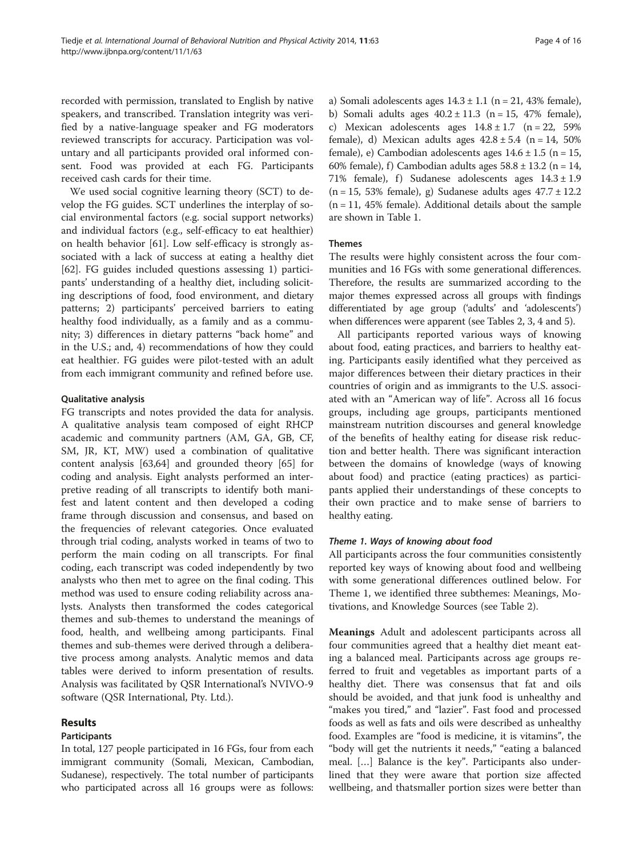recorded with permission, translated to English by native speakers, and transcribed. Translation integrity was verified by a native-language speaker and FG moderators reviewed transcripts for accuracy. Participation was voluntary and all participants provided oral informed consent. Food was provided at each FG. Participants received cash cards for their time.

We used social cognitive learning theory (SCT) to develop the FG guides. SCT underlines the interplay of social environmental factors (e.g. social support networks) and individual factors (e.g., self-efficacy to eat healthier) on health behavior [\[61](#page-15-0)]. Low self-efficacy is strongly associated with a lack of success at eating a healthy diet [[62\]](#page-15-0). FG guides included questions assessing 1) participants' understanding of a healthy diet, including soliciting descriptions of food, food environment, and dietary patterns; 2) participants' perceived barriers to eating healthy food individually, as a family and as a community; 3) differences in dietary patterns "back home" and in the U.S.; and, 4) recommendations of how they could eat healthier. FG guides were pilot-tested with an adult from each immigrant community and refined before use.

#### Qualitative analysis

FG transcripts and notes provided the data for analysis. A qualitative analysis team composed of eight RHCP academic and community partners (AM, GA, GB, CF, SM, JR, KT, MW) used a combination of qualitative content analysis [\[63,64](#page-15-0)] and grounded theory [[65\]](#page-15-0) for coding and analysis. Eight analysts performed an interpretive reading of all transcripts to identify both manifest and latent content and then developed a coding frame through discussion and consensus, and based on the frequencies of relevant categories. Once evaluated through trial coding, analysts worked in teams of two to perform the main coding on all transcripts. For final coding, each transcript was coded independently by two analysts who then met to agree on the final coding. This method was used to ensure coding reliability across analysts. Analysts then transformed the codes categorical themes and sub-themes to understand the meanings of food, health, and wellbeing among participants. Final themes and sub-themes were derived through a deliberative process among analysts. Analytic memos and data tables were derived to inform presentation of results. Analysis was facilitated by QSR International's NVIVO-9 software (QSR International, Pty. Ltd.).

# Results

# Participants

In total, 127 people participated in 16 FGs, four from each immigrant community (Somali, Mexican, Cambodian, Sudanese), respectively. The total number of participants who participated across all 16 groups were as follows:

a) Somali adolescents ages  $14.3 \pm 1.1$  (n = 21, 43% female), b) Somali adults ages  $40.2 \pm 11.3$  (n = 15, 47% female), c) Mexican adolescents ages  $14.8 \pm 1.7$  (n = 22, 59%) female), d) Mexican adults ages  $42.8 \pm 5.4$  (n = 14, 50%) female), e) Cambodian adolescents ages  $14.6 \pm 1.5$  (n = 15, 60% female), f) Cambodian adults ages  $58.8 \pm 13.2$  (n = 14, 71% female), f) Sudanese adolescents ages  $14.3 \pm 1.9$  $(n = 15, 53\%$  female), g) Sudanese adults ages  $47.7 \pm 12.2$  $(n = 11, 45\%$  female). Additional details about the sample are shown in Table [1.](#page-4-0)

# Themes

The results were highly consistent across the four communities and 16 FGs with some generational differences. Therefore, the results are summarized according to the major themes expressed across all groups with findings differentiated by age group ('adults' and 'adolescents') when differences were apparent (see Tables [2](#page-5-0), [3,](#page-6-0) [4](#page-7-0) and [5\)](#page-9-0).

All participants reported various ways of knowing about food, eating practices, and barriers to healthy eating. Participants easily identified what they perceived as major differences between their dietary practices in their countries of origin and as immigrants to the U.S. associated with an "American way of life". Across all 16 focus groups, including age groups, participants mentioned mainstream nutrition discourses and general knowledge of the benefits of healthy eating for disease risk reduction and better health. There was significant interaction between the domains of knowledge (ways of knowing about food) and practice (eating practices) as participants applied their understandings of these concepts to their own practice and to make sense of barriers to healthy eating.

# Theme 1. Ways of knowing about food

All participants across the four communities consistently reported key ways of knowing about food and wellbeing with some generational differences outlined below. For Theme 1, we identified three subthemes: Meanings, Motivations, and Knowledge Sources (see Table [2\)](#page-5-0).

Meanings Adult and adolescent participants across all four communities agreed that a healthy diet meant eating a balanced meal. Participants across age groups referred to fruit and vegetables as important parts of a healthy diet. There was consensus that fat and oils should be avoided, and that junk food is unhealthy and "makes you tired," and "lazier". Fast food and processed foods as well as fats and oils were described as unhealthy food. Examples are "food is medicine, it is vitamins", the "body will get the nutrients it needs," "eating a balanced meal. […] Balance is the key". Participants also underlined that they were aware that portion size affected wellbeing, and thatsmaller portion sizes were better than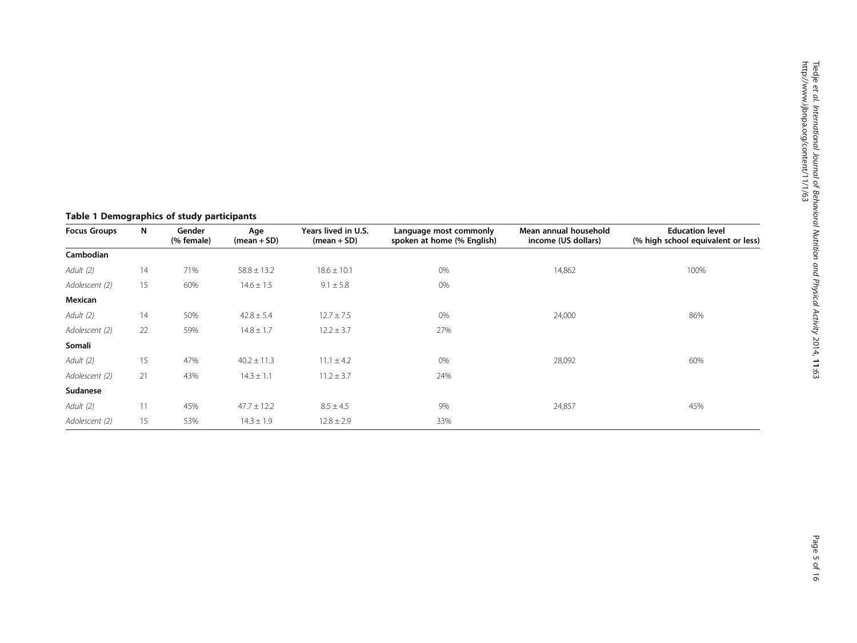| http://www.ijbnpa.org/content/11/1/63 | Fiedje et al. International Journal of Behavioral Nutrition and Physical Activity 2014, 11:63 |
|---------------------------------------|-----------------------------------------------------------------------------------------------|
|                                       |                                                                                               |

#### <span id="page-4-0"></span>Table 1 Demographics of study participants

| <b>Focus Groups</b> | N  | Gender<br>(% female) | Age<br>$(mean + SD)$ | Years lived in U.S.<br>$(mean + SD)$ | Language most commonly<br>spoken at home (% English) | Mean annual household<br>income (US dollars) | <b>Education level</b><br>(% high school equivalent or less) |
|---------------------|----|----------------------|----------------------|--------------------------------------|------------------------------------------------------|----------------------------------------------|--------------------------------------------------------------|
| Cambodian           |    |                      |                      |                                      |                                                      |                                              |                                                              |
| Adult (2)           | 14 | 71%                  | $58.8 \pm 13.2$      | $18.6 \pm 10.1$                      | 0%                                                   | 14,862                                       | 100%                                                         |
| Adolescent (2)      | 15 | 60%                  | $14.6 \pm 1.5$       | $9.1 \pm 5.8$                        | 0%                                                   |                                              |                                                              |
| Mexican             |    |                      |                      |                                      |                                                      |                                              |                                                              |
| Adult (2)           | 14 | 50%                  | $42.8 \pm 5.4$       | $12.7 \pm 7.5$                       | 0%                                                   | 24,000                                       | 86%                                                          |
| Adolescent (2)      | 22 | 59%                  | $14.8 \pm 1.7$       | $12.2 \pm 3.7$                       | 27%                                                  |                                              |                                                              |
| Somali              |    |                      |                      |                                      |                                                      |                                              |                                                              |
| Adult (2)           | 15 | 47%                  | $40.2 \pm 11.3$      | $11.1 \pm 4.2$                       | 0%                                                   | 28,092                                       | 60%                                                          |
| Adolescent (2)      | 21 | 43%                  | $14.3 \pm 1.1$       | $11.2 \pm 3.7$                       | 24%                                                  |                                              |                                                              |
| Sudanese            |    |                      |                      |                                      |                                                      |                                              |                                                              |
| Adult (2)           | 11 | 45%                  | $47.7 \pm 12.2$      | $8.5 \pm 4.5$                        | 9%                                                   | 24,857                                       | 45%                                                          |
| Adolescent (2)      | 15 | 53%                  | $14.3 \pm 1.9$       | $12.8 \pm 2.9$                       | 33%                                                  |                                              |                                                              |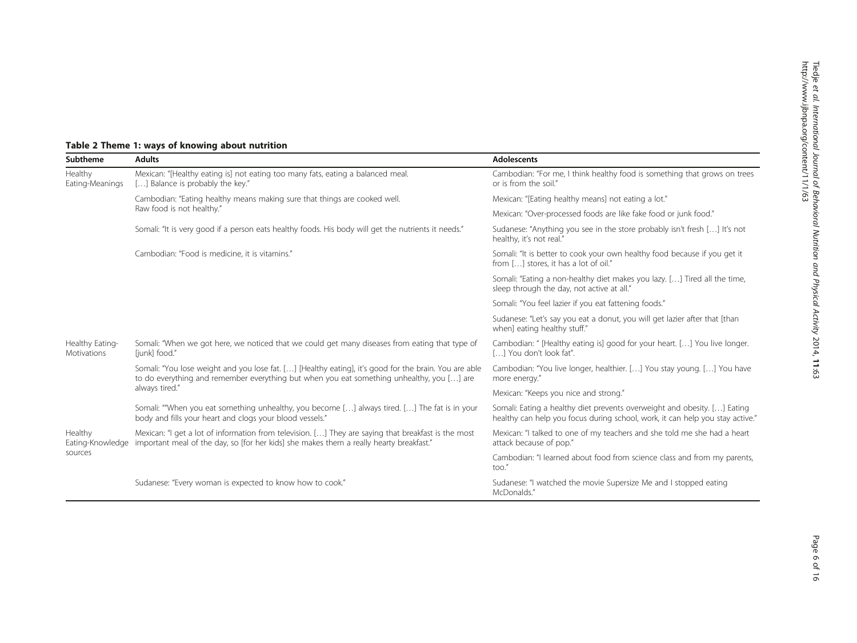| Subtheme                       | <b>Adults</b>                                                                                                                                                                                      | <b>Adolescents</b>                                                                                                                                        |
|--------------------------------|----------------------------------------------------------------------------------------------------------------------------------------------------------------------------------------------------|-----------------------------------------------------------------------------------------------------------------------------------------------------------|
| Healthy<br>Eating-Meanings     | Mexican: "[Healthy eating is] not eating too many fats, eating a balanced meal.<br>[] Balance is probably the key."                                                                                | Cambodian: "For me, I think healthy food is something that grows on trees<br>or is from the soil."                                                        |
|                                | Cambodian: "Eating healthy means making sure that things are cooked well.                                                                                                                          | Mexican: "[Eating healthy means] not eating a lot."                                                                                                       |
|                                | Raw food is not healthy."                                                                                                                                                                          | Mexican: "Over-processed foods are like fake food or junk food."                                                                                          |
|                                | Somali: "It is very good if a person eats healthy foods. His body will get the nutrients it needs."                                                                                                | Sudanese: "Anything you see in the store probably isn't fresh [] It's not<br>healthy, it's not real."                                                     |
|                                | Cambodian: "Food is medicine, it is vitamins."                                                                                                                                                     | Somali: "It is better to cook your own healthy food because if you get it<br>from [] stores, it has a lot of oil."                                        |
|                                |                                                                                                                                                                                                    | Somali: "Eating a non-healthy diet makes you lazy. [] Tired all the time,<br>sleep through the day, not active at all."                                   |
|                                |                                                                                                                                                                                                    | Somali: "You feel lazier if you eat fattening foods."                                                                                                     |
|                                |                                                                                                                                                                                                    | Sudanese: "Let's say you eat a donut, you will get lazier after that [than<br>when] eating healthy stuff."                                                |
| Healthy Eating-<br>Motivations | Somali: "When we got here, we noticed that we could get many diseases from eating that type of<br>[junk] food."                                                                                    | Cambodian: " [Healthy eating is] good for your heart. [] You live longer.<br>[] You don't look fat".                                                      |
|                                | Somali: "You lose weight and you lose fat. [] [Healthy eating], it's good for the brain. You are able<br>to do everything and remember everything but when you eat something unhealthy, you [] are | Cambodian: "You live longer, healthier. [] You stay young. [] You have<br>more energy."                                                                   |
|                                | always tired."                                                                                                                                                                                     | Mexican: "Keeps you nice and strong."                                                                                                                     |
|                                | Somali: ""When you eat something unhealthy, you become [] always tired. [] The fat is in your<br>body and fills your heart and clogs your blood vessels."                                          | Somali: Eating a healthy diet prevents overweight and obesity. [] Eating<br>healthy can help you focus during school, work, it can help you stay active." |
| Healthy<br>Eating-Knowledge    | Mexican: "I get a lot of information from television. [] They are saying that breakfast is the most<br>important meal of the day, so [for her kids] she makes them a really hearty breakfast."     | Mexican: "I talked to one of my teachers and she told me she had a heart<br>attack because of pop."                                                       |
| sources                        |                                                                                                                                                                                                    | Cambodian: "I learned about food from science class and from my parents,<br>too."                                                                         |
|                                | Sudanese: "Every woman is expected to know how to cook."                                                                                                                                           | Sudanese: "I watched the movie Supersize Me and I stopped eating<br>McDonalds."                                                                           |

# <span id="page-5-0"></span>Table 2 Theme 1: ways of knowing about nutrition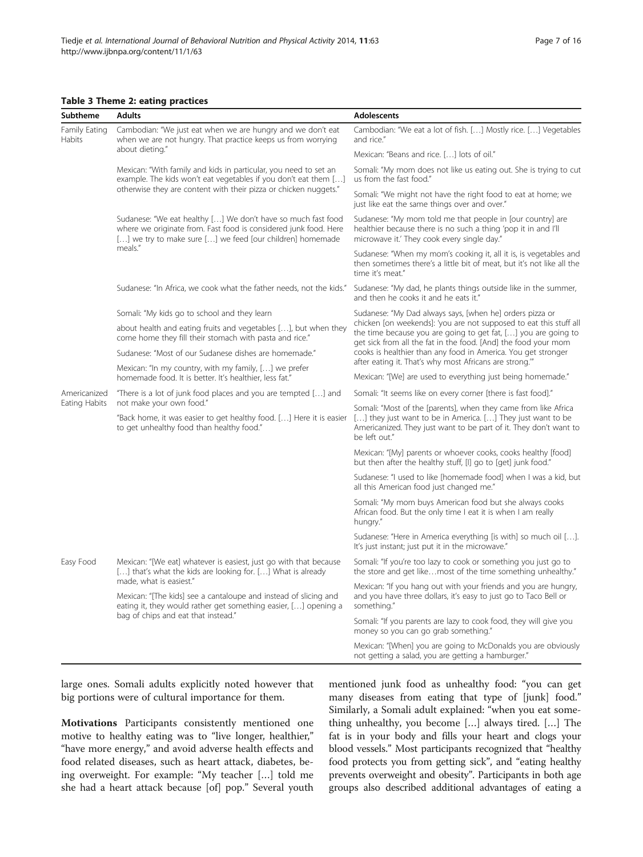#### <span id="page-6-0"></span>Table 3 Theme 2: eating practices

| Subtheme                       | <b>Adults</b>                                                                                                                                                                                 | <b>Adolescents</b>                                                                                                                                                                                                                                                                                                                |  |  |  |
|--------------------------------|-----------------------------------------------------------------------------------------------------------------------------------------------------------------------------------------------|-----------------------------------------------------------------------------------------------------------------------------------------------------------------------------------------------------------------------------------------------------------------------------------------------------------------------------------|--|--|--|
| Family Eating<br><b>Habits</b> | Cambodian: "We just eat when we are hungry and we don't eat<br>when we are not hungry. That practice keeps us from worrying                                                                   | Cambodian: "We eat a lot of fish. [] Mostly rice. [] Vegetables<br>and rice."                                                                                                                                                                                                                                                     |  |  |  |
|                                | about dieting."                                                                                                                                                                               | Mexican: "Beans and rice. [] lots of oil."                                                                                                                                                                                                                                                                                        |  |  |  |
|                                | Mexican: "With family and kids in particular, you need to set an<br>example. The kids won't eat vegetables if you don't eat them []                                                           | Somali: "My mom does not like us eating out. She is trying to cut<br>us from the fast food."                                                                                                                                                                                                                                      |  |  |  |
|                                | otherwise they are content with their pizza or chicken nuggets."                                                                                                                              | Somali: "We might not have the right food to eat at home; we<br>just like eat the same things over and over."                                                                                                                                                                                                                     |  |  |  |
|                                | Sudanese: "We eat healthy [] We don't have so much fast food<br>where we originate from. Fast food is considered junk food. Here<br>[] we try to make sure [] we feed [our children] homemade | Sudanese: "My mom told me that people in [our country] are<br>healthier because there is no such a thing 'pop it in and I'll<br>microwave it.' They cook every single day."                                                                                                                                                       |  |  |  |
|                                | meals."                                                                                                                                                                                       | Sudanese: "When my mom's cooking it, all it is, is vegetables and<br>then sometimes there's a little bit of meat, but it's not like all the<br>time it's meat."                                                                                                                                                                   |  |  |  |
|                                | Sudanese: "In Africa, we cook what the father needs, not the kids."                                                                                                                           | Sudanese: "My dad, he plants things outside like in the summer,<br>and then he cooks it and he eats it."                                                                                                                                                                                                                          |  |  |  |
|                                | Somali: "My kids go to school and they learn                                                                                                                                                  | Sudanese: "My Dad always says, [when he] orders pizza or                                                                                                                                                                                                                                                                          |  |  |  |
|                                | about health and eating fruits and vegetables [], but when they<br>come home they fill their stomach with pasta and rice."                                                                    | chicken [on weekends]: 'you are not supposed to eat this stuff all<br>the time because you are going to get fat, [] you are going to<br>get sick from all the fat in the food. [And] the food your mom<br>cooks is healthier than any food in America. You get stronger<br>after eating it. That's why most Africans are strong." |  |  |  |
|                                | Sudanese: "Most of our Sudanese dishes are homemade."                                                                                                                                         |                                                                                                                                                                                                                                                                                                                                   |  |  |  |
|                                | Mexican: "In my country, with my family, [] we prefer<br>homemade food. It is better. It's healthier, less fat."                                                                              | Mexican: "[We] are used to everything just being homemade."                                                                                                                                                                                                                                                                       |  |  |  |
| Americanized                   | "There is a lot of junk food places and you are tempted [] and                                                                                                                                | Somali: "It seems like on every corner [there is fast food]."                                                                                                                                                                                                                                                                     |  |  |  |
| Eating Habits                  | not make your own food."                                                                                                                                                                      | Somali: "Most of the [parents], when they came from like Africa                                                                                                                                                                                                                                                                   |  |  |  |
|                                | "Back home, it was easier to get healthy food. [] Here it is easier<br>to get unhealthy food than healthy food."                                                                              | [] they just want to be in America. [] They just want to be<br>Americanized. They just want to be part of it. They don't want to<br>be left out."                                                                                                                                                                                 |  |  |  |
|                                |                                                                                                                                                                                               | Mexican: "[My] parents or whoever cooks, cooks healthy [food]<br>but then after the healthy stuff, [I] go to [get] junk food."                                                                                                                                                                                                    |  |  |  |
|                                |                                                                                                                                                                                               | Sudanese: "I used to like [homemade food] when I was a kid, but<br>all this American food just changed me."                                                                                                                                                                                                                       |  |  |  |
|                                |                                                                                                                                                                                               | Somali: "My mom buys American food but she always cooks<br>African food. But the only time I eat it is when I am really<br>hungry."                                                                                                                                                                                               |  |  |  |
|                                |                                                                                                                                                                                               | Sudanese: "Here in America everything [is with] so much oil [].<br>It's just instant; just put it in the microwave."                                                                                                                                                                                                              |  |  |  |
| Easy Food                      | Mexican: "[We eat] whatever is easiest, just go with that because<br>[] that's what the kids are looking for. [] What is already                                                              | Somali: "If you're too lazy to cook or something you just go to<br>the store and get likemost of the time something unhealthy."                                                                                                                                                                                                   |  |  |  |
|                                | made, what is easiest."<br>Mexican: "[The kids] see a cantaloupe and instead of slicing and<br>eating it, they would rather get something easier, [] opening a                                | Mexican: "If you hang out with your friends and you are hungry,<br>and you have three dollars, it's easy to just go to Taco Bell or<br>something."                                                                                                                                                                                |  |  |  |
|                                | bag of chips and eat that instead."                                                                                                                                                           | Somali: "If you parents are lazy to cook food, they will give you<br>money so you can go grab something."                                                                                                                                                                                                                         |  |  |  |
|                                |                                                                                                                                                                                               | Mexican: "[When] you are going to McDonalds you are obviously<br>not getting a salad, you are getting a hamburger."                                                                                                                                                                                                               |  |  |  |

large ones. Somali adults explicitly noted however that big portions were of cultural importance for them.

Motivations Participants consistently mentioned one motive to healthy eating was to "live longer, healthier," "have more energy," and avoid adverse health effects and food related diseases, such as heart attack, diabetes, being overweight. For example: "My teacher […] told me she had a heart attack because [of] pop." Several youth

mentioned junk food as unhealthy food: "you can get many diseases from eating that type of [junk] food." Similarly, a Somali adult explained: "when you eat something unhealthy, you become […] always tired. […] The fat is in your body and fills your heart and clogs your blood vessels." Most participants recognized that "healthy food protects you from getting sick", and "eating healthy prevents overweight and obesity". Participants in both age groups also described additional advantages of eating a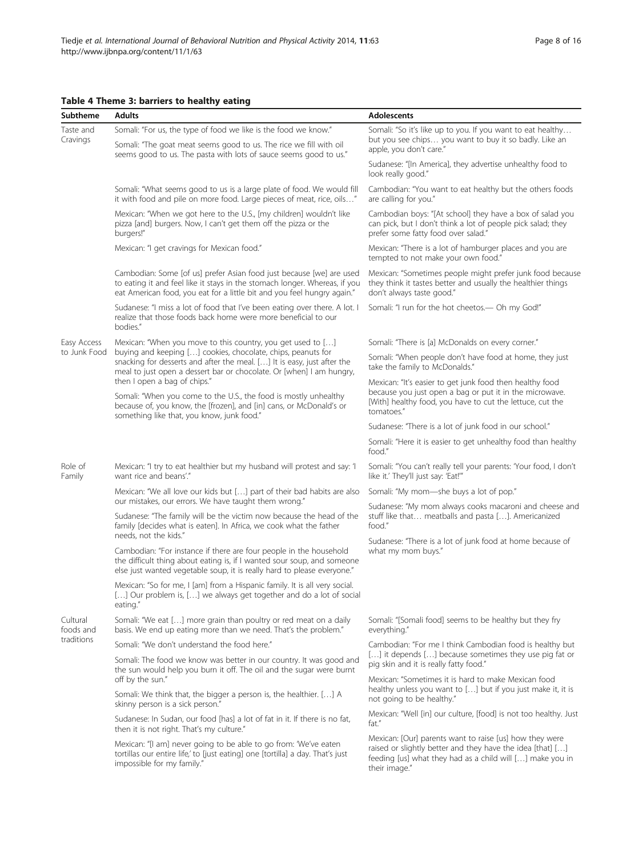<span id="page-7-0"></span>

| Subtheme              | <b>Adults</b>                                                                                                                                                                                                                 | Adolescents                                                                                                                                                                                         |  |  |  |
|-----------------------|-------------------------------------------------------------------------------------------------------------------------------------------------------------------------------------------------------------------------------|-----------------------------------------------------------------------------------------------------------------------------------------------------------------------------------------------------|--|--|--|
| Taste and<br>Cravings | Somali: "For us, the type of food we like is the food we know."                                                                                                                                                               | Somali: "So it's like up to you. If you want to eat healthy<br>but you see chips you want to buy it so badly. Like an                                                                               |  |  |  |
|                       | Somali: "The goat meat seems good to us. The rice we fill with oil<br>seems good to us. The pasta with lots of sauce seems good to us."                                                                                       | apple, you don't care."                                                                                                                                                                             |  |  |  |
|                       |                                                                                                                                                                                                                               | Sudanese: "[In America], they advertise unhealthy food to<br>look really good."                                                                                                                     |  |  |  |
|                       | Somali: "What seems good to us is a large plate of food. We would fill<br>it with food and pile on more food. Large pieces of meat, rice, oils"                                                                               | Cambodian: "You want to eat healthy but the others foods<br>are calling for you."                                                                                                                   |  |  |  |
|                       | Mexican: "When we got here to the U.S., [my children] wouldn't like<br>pizza [and] burgers. Now, I can't get them off the pizza or the<br>burgers!"                                                                           | Cambodian boys: "[At school] they have a box of salad you<br>can pick, but I don't think a lot of people pick salad; they<br>prefer some fatty food over salad."                                    |  |  |  |
|                       | Mexican: "I get cravings for Mexican food."                                                                                                                                                                                   | Mexican: "There is a lot of hamburger places and you are<br>tempted to not make your own food."                                                                                                     |  |  |  |
|                       | Cambodian: Some [of us] prefer Asian food just because [we] are used<br>to eating it and feel like it stays in the stomach longer. Whereas, if you<br>eat American food, you eat for a little bit and you feel hungry again." | Mexican: "Sometimes people might prefer junk food because<br>they think it tastes better and usually the healthier things<br>don't always taste good."                                              |  |  |  |
|                       | Sudanese: "I miss a lot of food that I've been eating over there. A lot. I<br>realize that those foods back home were more beneficial to our<br>bodies."                                                                      | Somali: "I run for the hot cheetos. - Oh my God!"                                                                                                                                                   |  |  |  |
| Easy Access           | Mexican: "When you move to this country, you get used to []                                                                                                                                                                   | Somali: "There is [a] McDonalds on every corner."                                                                                                                                                   |  |  |  |
| to Junk Food          | buying and keeping [] cookies, chocolate, chips, peanuts for<br>snacking for desserts and after the meal. [] It is easy, just after the<br>meal to just open a dessert bar or chocolate. Or [when] I am hungry,               | Somali: "When people don't have food at home, they just<br>take the family to McDonalds."                                                                                                           |  |  |  |
|                       | then I open a bag of chips."                                                                                                                                                                                                  | Mexican: "It's easier to get junk food then healthy food                                                                                                                                            |  |  |  |
|                       | Somali: "When you come to the U.S., the food is mostly unhealthy<br>because of, you know, the [frozen], and [in] cans, or McDonald's or<br>something like that, you know, junk food."                                         | because you just open a bag or put it in the microwave.<br>[With] healthy food, you have to cut the lettuce, cut the<br>tomatoes."                                                                  |  |  |  |
|                       |                                                                                                                                                                                                                               | Sudanese: "There is a lot of junk food in our school."                                                                                                                                              |  |  |  |
|                       |                                                                                                                                                                                                                               | Somali: "Here it is easier to get unhealthy food than healthy<br>food."                                                                                                                             |  |  |  |
| Role of<br>Family     | Mexican: "I try to eat healthier but my husband will protest and say: 'I<br>want rice and beans'."                                                                                                                            | Somali: "You can't really tell your parents: 'Your food, I don't<br>like it.' They'll just say: 'Eat!"                                                                                              |  |  |  |
|                       | Mexican: "We all love our kids but [] part of their bad habits are also                                                                                                                                                       | Somali: "My mom-she buys a lot of pop."                                                                                                                                                             |  |  |  |
|                       | our mistakes, our errors. We have taught them wrong."                                                                                                                                                                         | Sudanese: "My mom always cooks macaroni and cheese and                                                                                                                                              |  |  |  |
|                       | Sudanese: "The family will be the victim now because the head of the<br>family [decides what is eaten]. In Africa, we cook what the father<br>needs, not the kids."                                                           | stuff like that meatballs and pasta []. Americanized<br>food."                                                                                                                                      |  |  |  |
|                       | Cambodian: "For instance if there are four people in the household<br>the difficult thing about eating is, if I wanted sour soup, and someone<br>else just wanted vegetable soup, it is really hard to please everyone."      | Sudanese: "There is a lot of junk food at home because of<br>what my mom buys."                                                                                                                     |  |  |  |
|                       | Mexican: "So for me, I [am] from a Hispanic family. It is all very social.<br>[] Our problem is, [] we always get together and do a lot of social<br>eating."                                                                 |                                                                                                                                                                                                     |  |  |  |
| Cultural<br>foods and | Somali: "We eat [] more grain than poultry or red meat on a daily<br>basis. We end up eating more than we need. That's the problem."                                                                                          | Somali: "[Somali food] seems to be healthy but they fry<br>everything."                                                                                                                             |  |  |  |
| traditions            | Somali: "We don't understand the food here."                                                                                                                                                                                  | Cambodian: "For me I think Cambodian food is healthy but                                                                                                                                            |  |  |  |
|                       | Somali: The food we know was better in our country. It was good and<br>the sun would help you burn it off. The oil and the sugar were burnt                                                                                   | [] it depends [] because sometimes they use pig fat or<br>pig skin and it is really fatty food."                                                                                                    |  |  |  |
|                       | off by the sun."<br>Somali: We think that, the bigger a person is, the healthier. [] A<br>skinny person is a sick person."                                                                                                    | Mexican: "Sometimes it is hard to make Mexican food<br>healthy unless you want to [] but if you just make it, it is<br>not going to be healthy."                                                    |  |  |  |
|                       | Sudanese: In Sudan, our food [has] a lot of fat in it. If there is no fat,<br>then it is not right. That's my culture."                                                                                                       | Mexican: "Well [in] our culture, [food] is not too healthy. Just<br>fat."                                                                                                                           |  |  |  |
|                       | Mexican: "[I am] never going to be able to go from: 'We've eaten<br>tortillas our entire life,' to [just eating] one [tortilla] a day. That's just<br>impossible for my family."                                              | Mexican: [Our] parents want to raise [us] how they were<br>raised or slightly better and they have the idea [that] []<br>feeding [us] what they had as a child will [] make you in<br>their image." |  |  |  |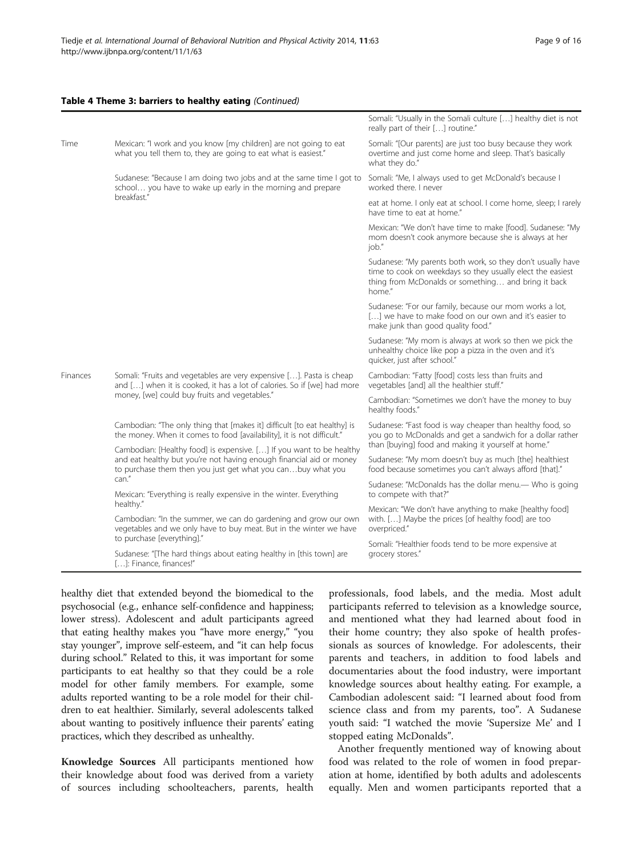| Table 4 Theme 3: barriers to healthy eating (Continued) |  |  |  |  |
|---------------------------------------------------------|--|--|--|--|
|---------------------------------------------------------|--|--|--|--|

|          |                                                                                                                                                                                                            | Somali: "Usually in the Somali culture [] healthy diet is not<br>really part of their [] routine."                                                                                         |
|----------|------------------------------------------------------------------------------------------------------------------------------------------------------------------------------------------------------------|--------------------------------------------------------------------------------------------------------------------------------------------------------------------------------------------|
| Time     | Mexican: "I work and you know [my children] are not going to eat<br>what you tell them to, they are going to eat what is easiest."                                                                         | Somali: "[Our parents] are just too busy because they work<br>overtime and just come home and sleep. That's basically<br>what they do."                                                    |
|          | Sudanese: "Because I am doing two jobs and at the same time I got to<br>school you have to wake up early in the morning and prepare                                                                        | Somali: "Me, I always used to get McDonald's because I<br>worked there. I never                                                                                                            |
|          | breakfast."                                                                                                                                                                                                | eat at home. I only eat at school. I come home, sleep; I rarely<br>have time to eat at home."                                                                                              |
|          |                                                                                                                                                                                                            | Mexican: "We don't have time to make [food]. Sudanese: "My<br>mom doesn't cook anymore because she is always at her<br>job."                                                               |
|          |                                                                                                                                                                                                            | Sudanese: "My parents both work, so they don't usually have<br>time to cook on weekdays so they usually elect the easiest<br>thing from McDonalds or something and bring it back<br>home." |
|          |                                                                                                                                                                                                            | Sudanese: "For our family, because our mom works a lot,<br>[] we have to make food on our own and it's easier to<br>make junk than good quality food."                                     |
|          |                                                                                                                                                                                                            | Sudanese: "My mom is always at work so then we pick the<br>unhealthy choice like pop a pizza in the oven and it's<br>quicker, just after school."                                          |
| Finances | Somali: "Fruits and vegetables are very expensive []. Pasta is cheap<br>and [] when it is cooked, it has a lot of calories. So if [we] had more                                                            | Cambodian: "Fatty [food] costs less than fruits and<br>vegetables [and] all the healthier stuff."                                                                                          |
|          | money, [we] could buy fruits and vegetables."                                                                                                                                                              | Cambodian: "Sometimes we don't have the money to buy<br>healthy foods."                                                                                                                    |
|          | Cambodian: "The only thing that [makes it] difficult [to eat healthy] is<br>the money. When it comes to food [availability], it is not difficult."                                                         | Sudanese: "Fast food is way cheaper than healthy food, so<br>you go to McDonalds and get a sandwich for a dollar rather                                                                    |
|          | Cambodian: [Healthy food] is expensive. [] If you want to be healthy<br>and eat healthy but you're not having enough financial aid or money<br>to purchase them then you just get what you canbuy what you | than [buying] food and making it yourself at home."<br>Sudanese: "My mom doesn't buy as much [the] healthiest<br>food because sometimes you can't always afford [that]."                   |
|          | can."<br>Mexican: "Everything is really expensive in the winter. Everything                                                                                                                                | Sudanese: "McDonalds has the dollar menu.- Who is going<br>to compete with that?"                                                                                                          |
|          | healthy."                                                                                                                                                                                                  | Mexican: "We don't have anything to make [healthy food]                                                                                                                                    |
|          | Cambodian: "In the summer, we can do gardening and grow our own<br>vegetables and we only have to buy meat. But in the winter we have<br>to purchase [everything]."                                        | with. [] Maybe the prices [of healthy food] are too<br>overpriced."                                                                                                                        |
|          | Sudanese: "[The hard things about eating healthy in [this town] are<br>[]: Finance, finances!"                                                                                                             | Somali: "Healthier foods tend to be more expensive at<br>grocery stores."                                                                                                                  |

healthy diet that extended beyond the biomedical to the psychosocial (e.g., enhance self-confidence and happiness; lower stress). Adolescent and adult participants agreed that eating healthy makes you "have more energy," "you stay younger", improve self-esteem, and "it can help focus during school." Related to this, it was important for some participants to eat healthy so that they could be a role model for other family members. For example, some adults reported wanting to be a role model for their children to eat healthier. Similarly, several adolescents talked about wanting to positively influence their parents' eating practices, which they described as unhealthy.

Knowledge Sources All participants mentioned how their knowledge about food was derived from a variety of sources including schoolteachers, parents, health

professionals, food labels, and the media. Most adult participants referred to television as a knowledge source, and mentioned what they had learned about food in their home country; they also spoke of health professionals as sources of knowledge. For adolescents, their parents and teachers, in addition to food labels and documentaries about the food industry, were important knowledge sources about healthy eating. For example, a Cambodian adolescent said: "I learned about food from science class and from my parents, too". A Sudanese youth said: "I watched the movie 'Supersize Me' and I stopped eating McDonalds".

Another frequently mentioned way of knowing about food was related to the role of women in food preparation at home, identified by both adults and adolescents equally. Men and women participants reported that a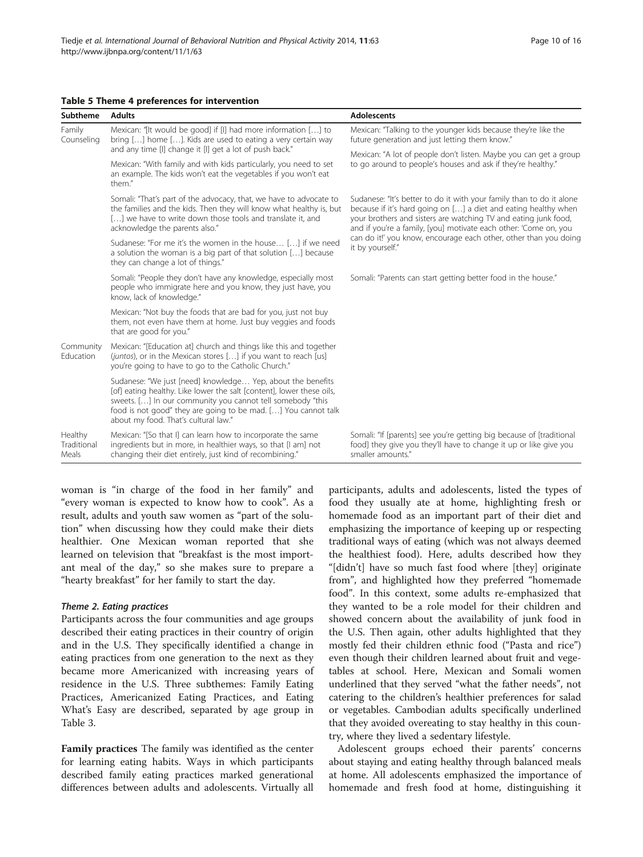<span id="page-9-0"></span>

|  |  |  | Table 5 Theme 4 preferences for intervention |  |  |  |  |  |  |  |  |  |
|--|--|--|----------------------------------------------|--|--|--|--|--|--|--|--|--|
|--|--|--|----------------------------------------------|--|--|--|--|--|--|--|--|--|

| <b>Subtheme</b>                 | <b>Adults</b>                                                                                                                                                                                                                                                                                                | <b>Adolescents</b>                                                                                                                                                                                                                                                             |
|---------------------------------|--------------------------------------------------------------------------------------------------------------------------------------------------------------------------------------------------------------------------------------------------------------------------------------------------------------|--------------------------------------------------------------------------------------------------------------------------------------------------------------------------------------------------------------------------------------------------------------------------------|
| Family<br>Counseling            | Mexican: "[It would be good] if [I] had more information [] to<br>bring [] home []. Kids are used to eating a very certain way                                                                                                                                                                               | Mexican: "Talking to the younger kids because they're like the<br>future generation and just letting them know."                                                                                                                                                               |
|                                 | and any time [I] change it [I] get a lot of push back."                                                                                                                                                                                                                                                      | Mexican: "A lot of people don't listen. Maybe you can get a group                                                                                                                                                                                                              |
|                                 | Mexican: "With family and with kids particularly, you need to set<br>an example. The kids won't eat the vegetables if you won't eat<br>them."                                                                                                                                                                | to go around to people's houses and ask if they're healthy."                                                                                                                                                                                                                   |
|                                 | Somali: "That's part of the advocacy, that, we have to advocate to<br>the families and the kids. Then they will know what healthy is, but<br>[] we have to write down those tools and translate it, and<br>acknowledge the parents also."                                                                    | Sudanese: "It's better to do it with your family than to do it alone<br>because if it's hard going on [] a diet and eating healthy when<br>your brothers and sisters are watching TV and eating junk food,<br>and if you're a family, [you] motivate each other: 'Come on, you |
|                                 | Sudanese: "For me it's the women in the house [] if we need<br>a solution the woman is a big part of that solution [] because<br>they can change a lot of things."                                                                                                                                           | can do it!' you know, encourage each other, other than you doing<br>it by yourself."                                                                                                                                                                                           |
|                                 | Somali: "People they don't have any knowledge, especially most<br>people who immigrate here and you know, they just have, you<br>know, lack of knowledge."                                                                                                                                                   | Somali: "Parents can start getting better food in the house."                                                                                                                                                                                                                  |
|                                 | Mexican: "Not buy the foods that are bad for you, just not buy<br>them, not even have them at home. Just buy veggies and foods<br>that are good for you."                                                                                                                                                    |                                                                                                                                                                                                                                                                                |
| Community<br>Education          | Mexican: "[Education at] church and things like this and together<br>(juntos), or in the Mexican stores [] if you want to reach [us]<br>you're going to have to go to the Catholic Church."                                                                                                                  |                                                                                                                                                                                                                                                                                |
|                                 | Sudanese: "We just [need] knowledge Yep, about the benefits<br>[of] eating healthy. Like lower the salt [content], lower these oils,<br>sweets. [] In our community you cannot tell somebody "this<br>food is not good" they are going to be mad. [] You cannot talk<br>about my food. That's cultural law." |                                                                                                                                                                                                                                                                                |
| Healthy<br>Traditional<br>Meals | Mexican: "[So that I] can learn how to incorporate the same<br>ingredients but in more, in healthier ways, so that [I am] not<br>changing their diet entirely, just kind of recombining."                                                                                                                    | Somali: "If [parents] see you're getting big because of [traditional<br>food] they give you they'll have to change it up or like give you<br>smaller amounts."                                                                                                                 |

woman is "in charge of the food in her family" and "every woman is expected to know how to cook". As a result, adults and youth saw women as "part of the solution" when discussing how they could make their diets healthier. One Mexican woman reported that she learned on television that "breakfast is the most important meal of the day," so she makes sure to prepare a "hearty breakfast" for her family to start the day.

#### Theme 2. Eating practices

Participants across the four communities and age groups described their eating practices in their country of origin and in the U.S. They specifically identified a change in eating practices from one generation to the next as they became more Americanized with increasing years of residence in the U.S. Three subthemes: Family Eating Practices, Americanized Eating Practices, and Eating What's Easy are described, separated by age group in Table [3.](#page-6-0)

Family practices The family was identified as the center for learning eating habits. Ways in which participants described family eating practices marked generational differences between adults and adolescents. Virtually all participants, adults and adolescents, listed the types of food they usually ate at home, highlighting fresh or homemade food as an important part of their diet and emphasizing the importance of keeping up or respecting traditional ways of eating (which was not always deemed the healthiest food). Here, adults described how they "[didn't] have so much fast food where [they] originate from", and highlighted how they preferred "homemade food". In this context, some adults re-emphasized that they wanted to be a role model for their children and showed concern about the availability of junk food in the U.S. Then again, other adults highlighted that they mostly fed their children ethnic food ("Pasta and rice") even though their children learned about fruit and vegetables at school. Here, Mexican and Somali women underlined that they served "what the father needs", not catering to the children's healthier preferences for salad or vegetables. Cambodian adults specifically underlined that they avoided overeating to stay healthy in this country, where they lived a sedentary lifestyle.

Adolescent groups echoed their parents' concerns about staying and eating healthy through balanced meals at home. All adolescents emphasized the importance of homemade and fresh food at home, distinguishing it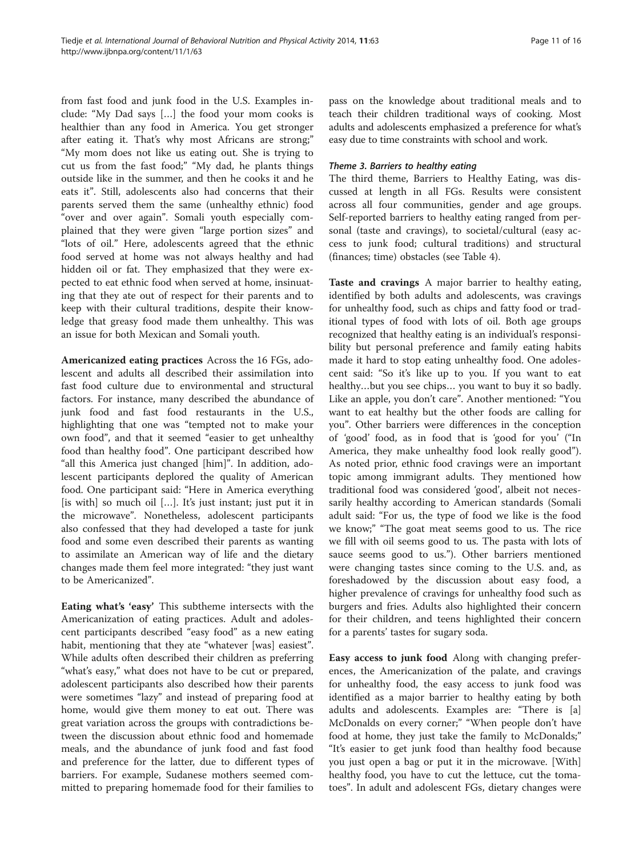from fast food and junk food in the U.S. Examples include: "My Dad says […] the food your mom cooks is healthier than any food in America. You get stronger after eating it. That's why most Africans are strong;" "My mom does not like us eating out. She is trying to cut us from the fast food;" "My dad, he plants things outside like in the summer, and then he cooks it and he eats it". Still, adolescents also had concerns that their parents served them the same (unhealthy ethnic) food "over and over again". Somali youth especially complained that they were given "large portion sizes" and "lots of oil." Here, adolescents agreed that the ethnic food served at home was not always healthy and had hidden oil or fat. They emphasized that they were expected to eat ethnic food when served at home, insinuating that they ate out of respect for their parents and to keep with their cultural traditions, despite their knowledge that greasy food made them unhealthy. This was an issue for both Mexican and Somali youth.

Americanized eating practices Across the 16 FGs, adolescent and adults all described their assimilation into fast food culture due to environmental and structural factors. For instance, many described the abundance of junk food and fast food restaurants in the U.S., highlighting that one was "tempted not to make your own food", and that it seemed "easier to get unhealthy food than healthy food". One participant described how "all this America just changed [him]". In addition, adolescent participants deplored the quality of American food. One participant said: "Here in America everything [is with] so much oil [...]. It's just instant; just put it in the microwave". Nonetheless, adolescent participants also confessed that they had developed a taste for junk food and some even described their parents as wanting to assimilate an American way of life and the dietary changes made them feel more integrated: "they just want to be Americanized".

Eating what's 'easy' This subtheme intersects with the Americanization of eating practices. Adult and adolescent participants described "easy food" as a new eating habit, mentioning that they ate "whatever [was] easiest". While adults often described their children as preferring "what's easy," what does not have to be cut or prepared, adolescent participants also described how their parents were sometimes "lazy" and instead of preparing food at home, would give them money to eat out. There was great variation across the groups with contradictions between the discussion about ethnic food and homemade meals, and the abundance of junk food and fast food and preference for the latter, due to different types of barriers. For example, Sudanese mothers seemed committed to preparing homemade food for their families to pass on the knowledge about traditional meals and to teach their children traditional ways of cooking. Most adults and adolescents emphasized a preference for what's easy due to time constraints with school and work.

# Theme 3. Barriers to healthy eating

The third theme, Barriers to Healthy Eating, was discussed at length in all FGs. Results were consistent across all four communities, gender and age groups. Self-reported barriers to healthy eating ranged from personal (taste and cravings), to societal/cultural (easy access to junk food; cultural traditions) and structural (finances; time) obstacles (see Table [4](#page-7-0)).

Taste and cravings A major barrier to healthy eating, identified by both adults and adolescents, was cravings for unhealthy food, such as chips and fatty food or traditional types of food with lots of oil. Both age groups recognized that healthy eating is an individual's responsibility but personal preference and family eating habits made it hard to stop eating unhealthy food. One adolescent said: "So it's like up to you. If you want to eat healthy…but you see chips… you want to buy it so badly. Like an apple, you don't care". Another mentioned: "You want to eat healthy but the other foods are calling for you". Other barriers were differences in the conception of 'good' food, as in food that is 'good for you' ("In America, they make unhealthy food look really good"). As noted prior, ethnic food cravings were an important topic among immigrant adults. They mentioned how traditional food was considered 'good', albeit not necessarily healthy according to American standards (Somali adult said: "For us, the type of food we like is the food we know;" "The goat meat seems good to us. The rice we fill with oil seems good to us. The pasta with lots of sauce seems good to us."). Other barriers mentioned were changing tastes since coming to the U.S. and, as foreshadowed by the discussion about easy food, a higher prevalence of cravings for unhealthy food such as burgers and fries. Adults also highlighted their concern for their children, and teens highlighted their concern for a parents' tastes for sugary soda.

Easy access to junk food Along with changing preferences, the Americanization of the palate, and cravings for unhealthy food, the easy access to junk food was identified as a major barrier to healthy eating by both adults and adolescents. Examples are: "There is [a] McDonalds on every corner;" "When people don't have food at home, they just take the family to McDonalds;" "It's easier to get junk food than healthy food because you just open a bag or put it in the microwave. [With] healthy food, you have to cut the lettuce, cut the tomatoes". In adult and adolescent FGs, dietary changes were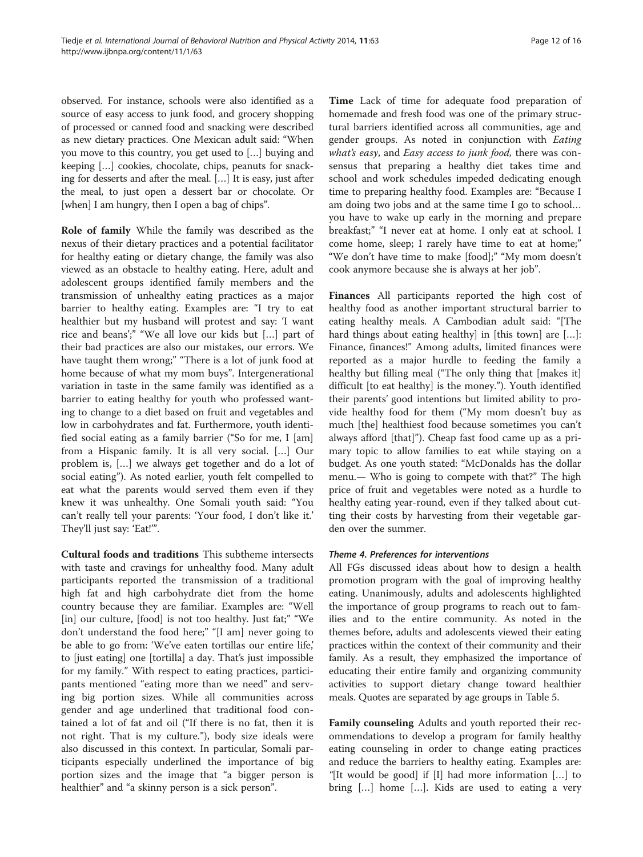observed. For instance, schools were also identified as a source of easy access to junk food, and grocery shopping of processed or canned food and snacking were described as new dietary practices. One Mexican adult said: "When you move to this country, you get used to […] buying and keeping […] cookies, chocolate, chips, peanuts for snacking for desserts and after the meal. […] It is easy, just after the meal, to just open a dessert bar or chocolate. Or [when] I am hungry, then I open a bag of chips".

Role of family While the family was described as the nexus of their dietary practices and a potential facilitator for healthy eating or dietary change, the family was also viewed as an obstacle to healthy eating. Here, adult and adolescent groups identified family members and the transmission of unhealthy eating practices as a major barrier to healthy eating. Examples are: "I try to eat healthier but my husband will protest and say: 'I want rice and beans';" "We all love our kids but […] part of their bad practices are also our mistakes, our errors. We have taught them wrong;" "There is a lot of junk food at home because of what my mom buys". Intergenerational variation in taste in the same family was identified as a barrier to eating healthy for youth who professed wanting to change to a diet based on fruit and vegetables and low in carbohydrates and fat. Furthermore, youth identified social eating as a family barrier ("So for me, I [am] from a Hispanic family. It is all very social. […] Our problem is, […] we always get together and do a lot of social eating"). As noted earlier, youth felt compelled to eat what the parents would served them even if they knew it was unhealthy. One Somali youth said: "You can't really tell your parents: 'Your food, I don't like it.' They'll just say: 'Eat!'".

Cultural foods and traditions This subtheme intersects with taste and cravings for unhealthy food. Many adult participants reported the transmission of a traditional high fat and high carbohydrate diet from the home country because they are familiar. Examples are: "Well [in] our culture, [food] is not too healthy. Just fat;" "We don't understand the food here;" "[I am] never going to be able to go from: 'We've eaten tortillas our entire life,' to [just eating] one [tortilla] a day. That's just impossible for my family." With respect to eating practices, participants mentioned "eating more than we need" and serving big portion sizes. While all communities across gender and age underlined that traditional food contained a lot of fat and oil ("If there is no fat, then it is not right. That is my culture."), body size ideals were also discussed in this context. In particular, Somali participants especially underlined the importance of big portion sizes and the image that "a bigger person is healthier" and "a skinny person is a sick person".

Time Lack of time for adequate food preparation of homemade and fresh food was one of the primary structural barriers identified across all communities, age and gender groups. As noted in conjunction with Eating what's easy, and Easy access to junk food, there was consensus that preparing a healthy diet takes time and school and work schedules impeded dedicating enough time to preparing healthy food. Examples are: "Because I am doing two jobs and at the same time I go to school… you have to wake up early in the morning and prepare breakfast;" "I never eat at home. I only eat at school. I come home, sleep; I rarely have time to eat at home;" "We don't have time to make [food];" "My mom doesn't cook anymore because she is always at her job".

Finances All participants reported the high cost of healthy food as another important structural barrier to eating healthy meals. A Cambodian adult said: "[The hard things about eating healthy] in [this town] are […]: Finance, finances!" Among adults, limited finances were reported as a major hurdle to feeding the family a healthy but filling meal ("The only thing that [makes it] difficult [to eat healthy] is the money."). Youth identified their parents' good intentions but limited ability to provide healthy food for them ("My mom doesn't buy as much [the] healthiest food because sometimes you can't always afford [that]"). Cheap fast food came up as a primary topic to allow families to eat while staying on a budget. As one youth stated: "McDonalds has the dollar menu.— Who is going to compete with that?" The high price of fruit and vegetables were noted as a hurdle to healthy eating year-round, even if they talked about cutting their costs by harvesting from their vegetable garden over the summer.

# Theme 4. Preferences for interventions

All FGs discussed ideas about how to design a health promotion program with the goal of improving healthy eating. Unanimously, adults and adolescents highlighted the importance of group programs to reach out to families and to the entire community. As noted in the themes before, adults and adolescents viewed their eating practices within the context of their community and their family. As a result, they emphasized the importance of educating their entire family and organizing community activities to support dietary change toward healthier meals. Quotes are separated by age groups in Table [5](#page-9-0).

Family counseling Adults and youth reported their recommendations to develop a program for family healthy eating counseling in order to change eating practices and reduce the barriers to healthy eating. Examples are: "[It would be good] if [I] had more information […] to bring […] home […]. Kids are used to eating a very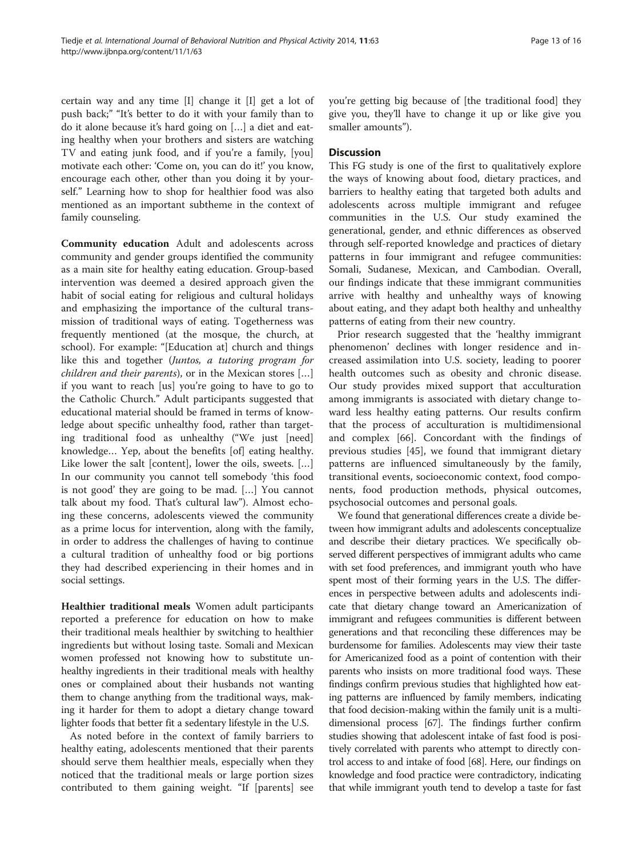certain way and any time [I] change it [I] get a lot of push back;" "It's better to do it with your family than to do it alone because it's hard going on […] a diet and eating healthy when your brothers and sisters are watching TV and eating junk food, and if you're a family, [you] motivate each other: 'Come on, you can do it!' you know, encourage each other, other than you doing it by yourself." Learning how to shop for healthier food was also mentioned as an important subtheme in the context of family counseling.

Community education Adult and adolescents across community and gender groups identified the community as a main site for healthy eating education. Group-based intervention was deemed a desired approach given the habit of social eating for religious and cultural holidays and emphasizing the importance of the cultural transmission of traditional ways of eating. Togetherness was frequently mentioned (at the mosque, the church, at school). For example: "[Education at] church and things like this and together (Juntos, a tutoring program for children and their parents), or in the Mexican stores […] if you want to reach [us] you're going to have to go to the Catholic Church." Adult participants suggested that educational material should be framed in terms of knowledge about specific unhealthy food, rather than targeting traditional food as unhealthy ("We just [need] knowledge… Yep, about the benefits [of] eating healthy. Like lower the salt [content], lower the oils, sweets. […] In our community you cannot tell somebody 'this food is not good' they are going to be mad. […] You cannot talk about my food. That's cultural law"). Almost echoing these concerns, adolescents viewed the community as a prime locus for intervention, along with the family, in order to address the challenges of having to continue a cultural tradition of unhealthy food or big portions they had described experiencing in their homes and in social settings.

Healthier traditional meals Women adult participants reported a preference for education on how to make their traditional meals healthier by switching to healthier ingredients but without losing taste. Somali and Mexican women professed not knowing how to substitute unhealthy ingredients in their traditional meals with healthy ones or complained about their husbands not wanting them to change anything from the traditional ways, making it harder for them to adopt a dietary change toward lighter foods that better fit a sedentary lifestyle in the U.S.

As noted before in the context of family barriers to healthy eating, adolescents mentioned that their parents should serve them healthier meals, especially when they noticed that the traditional meals or large portion sizes contributed to them gaining weight. "If [parents] see you're getting big because of [the traditional food] they give you, they'll have to change it up or like give you smaller amounts").

# **Discussion**

This FG study is one of the first to qualitatively explore the ways of knowing about food, dietary practices, and barriers to healthy eating that targeted both adults and adolescents across multiple immigrant and refugee communities in the U.S. Our study examined the generational, gender, and ethnic differences as observed through self-reported knowledge and practices of dietary patterns in four immigrant and refugee communities: Somali, Sudanese, Mexican, and Cambodian. Overall, our findings indicate that these immigrant communities arrive with healthy and unhealthy ways of knowing about eating, and they adapt both healthy and unhealthy patterns of eating from their new country.

Prior research suggested that the 'healthy immigrant phenomenon' declines with longer residence and increased assimilation into U.S. society, leading to poorer health outcomes such as obesity and chronic disease. Our study provides mixed support that acculturation among immigrants is associated with dietary change toward less healthy eating patterns. Our results confirm that the process of acculturation is multidimensional and complex [[66\]](#page-15-0). Concordant with the findings of previous studies [[45](#page-14-0)], we found that immigrant dietary patterns are influenced simultaneously by the family, transitional events, socioeconomic context, food components, food production methods, physical outcomes, psychosocial outcomes and personal goals.

We found that generational differences create a divide between how immigrant adults and adolescents conceptualize and describe their dietary practices. We specifically observed different perspectives of immigrant adults who came with set food preferences, and immigrant youth who have spent most of their forming years in the U.S. The differences in perspective between adults and adolescents indicate that dietary change toward an Americanization of immigrant and refugees communities is different between generations and that reconciling these differences may be burdensome for families. Adolescents may view their taste for Americanized food as a point of contention with their parents who insists on more traditional food ways. These findings confirm previous studies that highlighted how eating patterns are influenced by family members, indicating that food decision-making within the family unit is a multidimensional process [\[67](#page-15-0)]. The findings further confirm studies showing that adolescent intake of fast food is positively correlated with parents who attempt to directly control access to and intake of food [[68](#page-15-0)]. Here, our findings on knowledge and food practice were contradictory, indicating that while immigrant youth tend to develop a taste for fast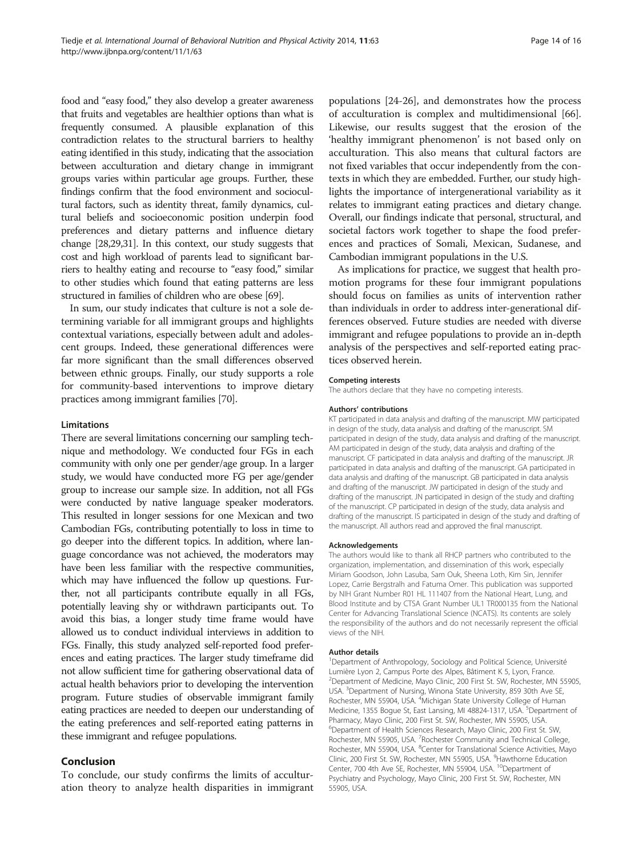food and "easy food," they also develop a greater awareness that fruits and vegetables are healthier options than what is frequently consumed. A plausible explanation of this contradiction relates to the structural barriers to healthy eating identified in this study, indicating that the association between acculturation and dietary change in immigrant groups varies within particular age groups. Further, these findings confirm that the food environment and sociocultural factors, such as identity threat, family dynamics, cultural beliefs and socioeconomic position underpin food preferences and dietary patterns and influence dietary change [\[28,29,31](#page-14-0)]. In this context, our study suggests that cost and high workload of parents lead to significant barriers to healthy eating and recourse to "easy food," similar to other studies which found that eating patterns are less structured in families of children who are obese [[69](#page-15-0)].

In sum, our study indicates that culture is not a sole determining variable for all immigrant groups and highlights contextual variations, especially between adult and adolescent groups. Indeed, these generational differences were far more significant than the small differences observed between ethnic groups. Finally, our study supports a role for community-based interventions to improve dietary practices among immigrant families [\[70\]](#page-15-0).

#### Limitations

There are several limitations concerning our sampling technique and methodology. We conducted four FGs in each community with only one per gender/age group. In a larger study, we would have conducted more FG per age/gender group to increase our sample size. In addition, not all FGs were conducted by native language speaker moderators. This resulted in longer sessions for one Mexican and two Cambodian FGs, contributing potentially to loss in time to go deeper into the different topics. In addition, where language concordance was not achieved, the moderators may have been less familiar with the respective communities, which may have influenced the follow up questions. Further, not all participants contribute equally in all FGs, potentially leaving shy or withdrawn participants out. To avoid this bias, a longer study time frame would have allowed us to conduct individual interviews in addition to FGs. Finally, this study analyzed self-reported food preferences and eating practices. The larger study timeframe did not allow sufficient time for gathering observational data of actual health behaviors prior to developing the intervention program. Future studies of observable immigrant family eating practices are needed to deepen our understanding of the eating preferences and self-reported eating patterns in these immigrant and refugee populations.

#### Conclusion

To conclude, our study confirms the limits of acculturation theory to analyze health disparities in immigrant

populations [[24-26\]](#page-14-0), and demonstrates how the process of acculturation is complex and multidimensional [\[66](#page-15-0)]. Likewise, our results suggest that the erosion of the 'healthy immigrant phenomenon' is not based only on acculturation. This also means that cultural factors are not fixed variables that occur independently from the contexts in which they are embedded. Further, our study highlights the importance of intergenerational variability as it relates to immigrant eating practices and dietary change. Overall, our findings indicate that personal, structural, and societal factors work together to shape the food preferences and practices of Somali, Mexican, Sudanese, and Cambodian immigrant populations in the U.S.

As implications for practice, we suggest that health promotion programs for these four immigrant populations should focus on families as units of intervention rather than individuals in order to address inter-generational differences observed. Future studies are needed with diverse immigrant and refugee populations to provide an in-depth analysis of the perspectives and self-reported eating practices observed herein.

#### Competing interests

The authors declare that they have no competing interests.

#### Authors' contributions

KT participated in data analysis and drafting of the manuscript. MW participated in design of the study, data analysis and drafting of the manuscript. SM participated in design of the study, data analysis and drafting of the manuscript. AM participated in design of the study, data analysis and drafting of the manuscript. CF participated in data analysis and drafting of the manuscript. JR participated in data analysis and drafting of the manuscript. GA participated in data analysis and drafting of the manuscript. GB participated in data analysis and drafting of the manuscript. JW participated in design of the study and drafting of the manuscript. JN participated in design of the study and drafting of the manuscript. CP participated in design of the study, data analysis and drafting of the manuscript. IS participated in design of the study and drafting of the manuscript. All authors read and approved the final manuscript.

#### Acknowledgements

The authors would like to thank all RHCP partners who contributed to the organization, implementation, and dissemination of this work, especially Miriam Goodson, John Lasuba, Sam Ouk, Sheena Loth, Kim Sin, Jennifer Lopez, Carrie Bergstralh and Fatuma Omer. This publication was supported by NIH Grant Number R01 HL 111407 from the National Heart, Lung, and Blood Institute and by CTSA Grant Number UL1 TR000135 from the National Center for Advancing Translational Science (NCATS). Its contents are solely the responsibility of the authors and do not necessarily represent the official views of the NIH.

#### Author details

<sup>1</sup>Department of Anthropology, Sociology and Political Science, Université Lumière Lyon 2, Campus Porte des Alpes, Bâtiment K 5, Lyon, France. 2 Department of Medicine, Mayo Clinic, 200 First St. SW, Rochester, MN 55905, USA. <sup>3</sup>Department of Nursing, Winona State University, 859 30th Ave SE, Rochester, MN 55904, USA. <sup>4</sup>Michigan State University College of Human Medicine, 1355 Bogue St, East Lansing, MI 48824-1317, USA. <sup>5</sup>Department of Pharmacy, Mayo Clinic, 200 First St. SW, Rochester, MN 55905, USA. 6 Department of Health Sciences Research, Mayo Clinic, 200 First St. SW, Rochester, MN 55905, USA. <sup>7</sup> Rochester Community and Technical College, Rochester, MN 55904, USA. <sup>8</sup>Center for Translational Science Activities, Mayo Clinic, 200 First St. SW, Rochester, MN 55905, USA. <sup>9</sup> Hawthorne Education Center, 700 4th Ave SE, Rochester, MN 55904, USA. <sup>10</sup>Department of Psychiatry and Psychology, Mayo Clinic, 200 First St. SW, Rochester, MN 55905, USA.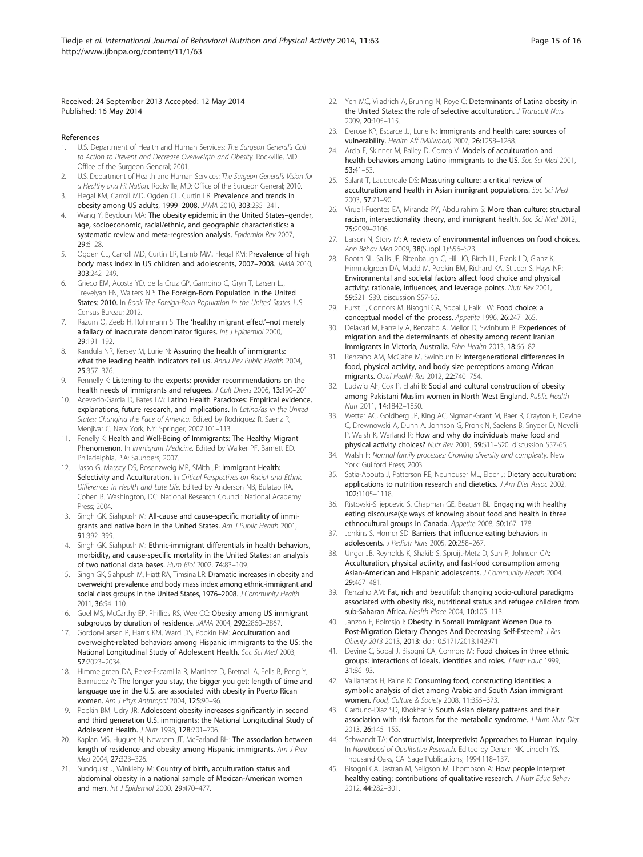#### <span id="page-14-0"></span>Received: 24 September 2013 Accepted: 12 May 2014 Published: 16 May 2014

#### References

- 1. U.S. Department of Health and Human Services: The Surgeon General's Call to Action to Prevent and Decrease Overweigth and Obesity. Rockville, MD: Office of the Surgeon General; 2001.
- U.S. Department of Health and Human Services: The Surgeon General's Vision for a Healthy and Fit Nation. Rockville, MD: Office of the Surgeon General; 2010.
- 3. Flegal KM, Carroll MD, Ogden CL, Curtin LR: Prevalence and trends in obesity among US adults, 1999–2008. JAMA 2010, 303:235–241.
- 4. Wang Y, Beydoun MA: The obesity epidemic in the United States–gender, age, socioeconomic, racial/ethnic, and geographic characteristics: a systematic review and meta-regression analysis. Epidemiol Rev 2007, 29:6–28.
- Ogden CL, Carroll MD, Curtin LR, Lamb MM, Flegal KM: Prevalence of high body mass index in US children and adolescents, 2007–2008. JAMA 2010, 303:242–249.
- 6. Grieco EM, Acosta YD, de la Cruz GP, Gambino C, Gryn T, Larsen LJ, Trevelyan EN, Walters NP: The Foreign-Born Population in the United States: 2010. In Book The Foreign-Born Population in the United States. US: Census Bureau; 2012.
- 7. Razum O, Zeeb H, Rohrmann S: The 'healthy migrant effect'-not merely a fallacy of inaccurate denominator figures. Int J Epidemiol 2000, 29:191–192.
- Kandula NR, Kersey M, Lurie N: Assuring the health of immigrants: what the leading health indicators tell us. Annu Rev Public Health 2004, 25:357–376.
- Fennelly K: Listening to the experts: provider recommendations on the health needs of immigrants and refugees. J Cult Divers 2006, 13:190–201.
- 10. Acevedo-Garcia D, Bates LM: Latino Health Paradoxes: Empirical evidence, explanations, future research, and implications. In Latino/as in the United States: Changing the Face of America. Edited by Rodriguez R, Saenz R, Menjivar C. New York, NY: Springer; 2007:101–113.
- 11. Fenelly K: Health and Well-Being of Immigrants: The Healthy Migrant Phenomenon. In Immigrant Medicine. Edited by Walker PF, Barnett ED. Philadelphia, P.A: Saunders; 2007.
- 12. Jasso G, Massey DS, Rosenzweig MR, SMith JP: Immigrant Health: Selectivity and Acculturation. In Critical Perspectives on Racial and Ethnic Differences in Health and Late Life. Edited by Anderson NB, Bulatao RA, Cohen B. Washington, DC: National Research Council: National Academy Press; 2004.
- 13. Singh GK, Siahpush M: All-cause and cause-specific mortality of immigrants and native born in the United States. Am J Public Health 2001, 91:392–399.
- 14. Singh GK, Siahpush M: Ethnic-immigrant differentials in health behaviors, morbidity, and cause-specific mortality in the United States: an analysis of two national data bases. Hum Biol 2002, 74:83–109.
- 15. Singh GK, Siahpush M, Hiatt RA, Timsina LR: Dramatic increases in obesity and overweight prevalence and body mass index among ethnic-immigrant and social class groups in the United States, 1976–2008. J Community Health 2011, 36:94–110.
- 16. Goel MS, McCarthy EP, Phillips RS, Wee CC: Obesity among US immigrant subgroups by duration of residence. JAMA 2004, 292:2860–2867.
- 17. Gordon-Larsen P, Harris KM, Ward DS, Popkin BM: Acculturation and overweight-related behaviors among Hispanic immigrants to the US: the National Longitudinal Study of Adolescent Health. Soc Sci Med 2003, 57:2023–2034.
- 18. Himmelgreen DA, Perez-Escamilla R, Martinez D, Bretnall A, Eells B, Peng Y, Bermudez A: The longer you stay, the bigger you get: length of time and language use in the U.S. are associated with obesity in Puerto Rican women. Am J Phys Anthropol 2004, 125:90–96.
- 19. Popkin BM, Udry JR: Adolescent obesity increases significantly in second and third generation U.S. immigrants: the National Longitudinal Study of Adolescent Health. J Nutr 1998, 128:701–706.
- 20. Kaplan MS, Huguet N, Newsom JT, McFarland BH: The association between length of residence and obesity among Hispanic immigrants. Am J Prev Med 2004, 27:323–326.
- 21. Sundquist J, Winkleby M: Country of birth, acculturation status and abdominal obesity in a national sample of Mexican-American women and men. Int J Epidemiol 2000, 29:470-477.
- 22. Yeh MC, Viladrich A, Bruning N, Roye C: Determinants of Latina obesity in the United States: the role of selective acculturation. J Transcult Nurs 2009, 20:105–115.
- 23. Derose KP, Escarce JJ, Lurie N: Immigrants and health care: sources of vulnerability. Health Aff (Millwood) 2007, 26:1258–1268.
- 24. Arcia E, Skinner M, Bailey D, Correa V: Models of acculturation and health behaviors among Latino immigrants to the US. Soc Sci Med 2001, 53:41–53.
- 25. Salant T, Lauderdale DS: Measuring culture: a critical review of acculturation and health in Asian immigrant populations. Soc Sci Med 2003, 57:71–90.
- 26. Viruell-Fuentes EA, Miranda PY, Abdulrahim S: More than culture: structural racism, intersectionality theory, and immigrant health. Soc Sci Med 2012, 75:2099–2106.
- 27. Larson N, Story M: A review of environmental influences on food choices. Ann Behav Med 2009, 38(Suppl 1):S56–S73.
- 28. Booth SL, Sallis JF, Ritenbaugh C, Hill JO, Birch LL, Frank LD, Glanz K, Himmelgreen DA, Mudd M, Popkin BM, Richard KA, St Jeor S, Hays NP: Environmental and societal factors affect food choice and physical activity: rationale, influences, and leverage points. Nutr Rev 2001, 59:S21–S39. discussion S57-65.
- 29. Furst T, Connors M, Bisogni CA, Sobal J, Falk LW: Food choice: a conceptual model of the process. Appetite 1996, 26:247–265.
- 30. Delavari M, Farrelly A, Renzaho A, Mellor D, Swinburn B: Experiences of migration and the determinants of obesity among recent Iranian immigrants in Victoria, Australia. Ethn Health 2013, 18:66–82.
- 31. Renzaho AM, McCabe M, Swinburn B: Intergenerational differences in food, physical activity, and body size perceptions among African migrants. Qual Health Res 2012, 22:740–754.
- 32. Ludwig AF, Cox P, Ellahi B: Social and cultural construction of obesity among Pakistani Muslim women in North West England. Public Health Nutr 2011, 14:1842–1850.
- 33. Wetter AC, Goldberg JP, King AC, Sigman-Grant M, Baer R, Crayton E, Devine C, Drewnowski A, Dunn A, Johnson G, Pronk N, Saelens B, Snyder D, Novelli P, Walsh K, Warland R: How and why do individuals make food and physical activity choices? Nutr Rev 2001, 59:S11–S20. discussion S57-65.
- 34. Walsh F: Normal family processes: Growing diversity and complexity. New York: Guilford Press; 2003.
- 35. Satia-Abouta J, Patterson RE, Neuhouser ML, Elder J: Dietary acculturation: applications to nutrition research and dietetics. J Am Diet Assoc 2002, 102:1105–1118.
- 36. Ristovski-Slijepcevic S, Chapman GE, Beagan BL: Engaging with healthy eating discourse(s): ways of knowing about food and health in three ethnocultural groups in Canada. Appetite 2008, 50:167–178.
- 37. Jenkins S, Horner SD: Barriers that influence eating behaviors in adolescents. J Pediatr Nurs 2005, 20:258–267.
- 38. Unger JB, Reynolds K, Shakib S, Spruijt-Metz D, Sun P, Johnson CA: Acculturation, physical activity, and fast-food consumption among Asian-American and Hispanic adolescents. J Community Health 2004, 29:467–481.
- 39. Renzaho AM: Fat, rich and beautiful: changing socio-cultural paradigms associated with obesity risk, nutritional status and refugee children from sub-Saharan Africa. Health Place 2004, 10:105–113.
- 40. Janzon E, Bolmsjo I: Obesity in Somali Immigrant Women Due to Post-Migration Dietary Changes And Decreasing Self-Esteem? J Res Obesity 2013 2013, 2013: doi:10.5171/2013.142971.
- 41. Devine C, Sobal J, Bisogni CA, Connors M: Food choices in three ethnic groups: interactions of ideals, identities and roles. J Nutr Educ 1999, 31:86–93.
- 42. Vallianatos H, Raine K: Consuming food, constructing identities: a symbolic analysis of diet among Arabic and South Asian immigrant women. Food, Culture & Society 2008, 11:355–373.
- 43. Garduno-Diaz SD, Khokhar S: South Asian dietary patterns and their association with risk factors for the metabolic syndrome. J Hum Nutr Diet 2013, 26:145–155.
- 44. Schwandt TA: Constructivist, Interpretivist Approaches to Human Inquiry. In Handbood of Qualitative Research. Edited by Denzin NK, Lincoln YS. Thousand Oaks, CA: Sage Publications; 1994:118–137.
- 45. Bisogni CA, Jastran M, Seligson M, Thompson A: How people interpret healthy eating: contributions of qualitative research. J Nutr Educ Behav 2012, 44:282–301.